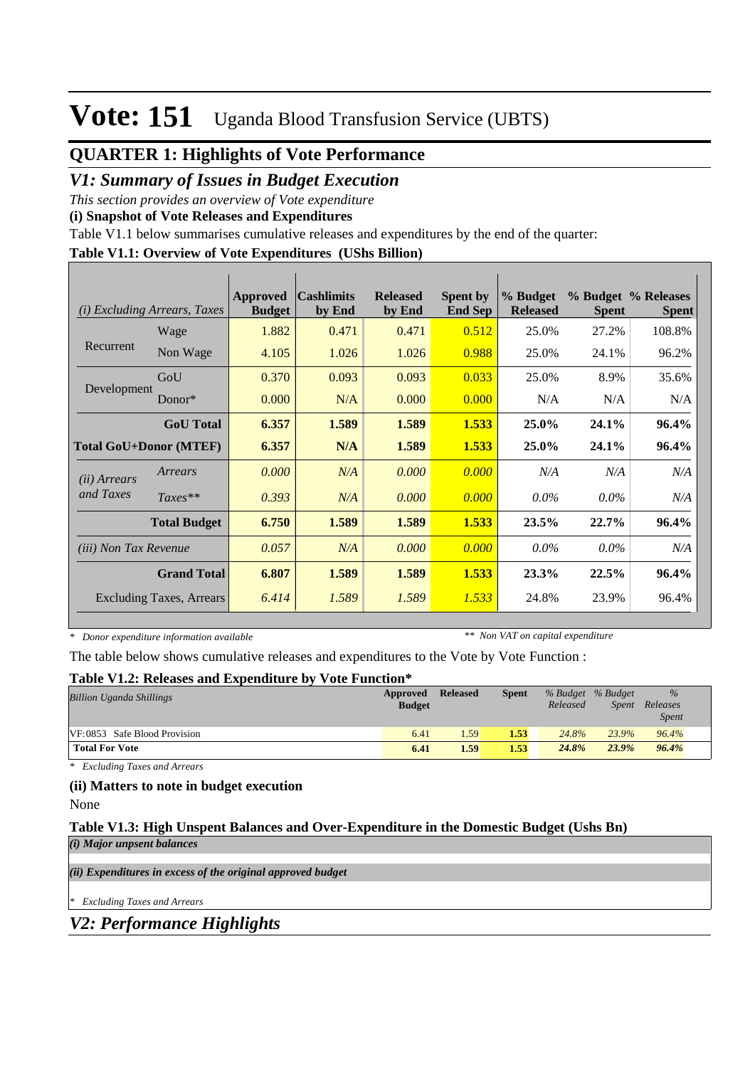### **QUARTER 1: Highlights of Vote Performance**

### *V1: Summary of Issues in Budget Execution*

*This section provides an overview of Vote expenditure* 

**(i) Snapshot of Vote Releases and Expenditures**

Table V1.1 below summarises cumulative releases and expenditures by the end of the quarter:

#### **Table V1.1: Overview of Vote Expenditures (UShs Billion)**

| (i)                           | <i>Excluding Arrears, Taxes</i> | Approved<br><b>Budget</b> | <b>Cashlimits</b><br>by End | <b>Released</b><br>by End | <b>Spent by</b><br><b>End Sep</b> | % Budget<br><b>Released</b> | <b>Spent</b> | % Budget % Releases<br><b>Spent</b> |
|-------------------------------|---------------------------------|---------------------------|-----------------------------|---------------------------|-----------------------------------|-----------------------------|--------------|-------------------------------------|
|                               | Wage                            | 1.882                     | 0.471                       | 0.471                     | 0.512                             | 25.0%                       | 27.2%        | 108.8%                              |
| Recurrent                     | Non Wage                        | 4.105                     | 1.026                       | 1.026                     | 0.988                             | 25.0%                       | 24.1%        | 96.2%                               |
|                               | GoU                             | 0.370                     | 0.093                       | 0.093                     | 0.033                             | 25.0%                       | 8.9%         | 35.6%                               |
| Development                   | $Donor*$                        | 0.000                     | N/A                         | 0.000                     | 0.000                             | N/A                         | N/A          | N/A                                 |
|                               | <b>GoU</b> Total                | 6.357                     | 1.589                       | 1.589                     | 1.533                             | 25.0%                       | 24.1%        | 96.4%                               |
| <b>Total GoU+Donor (MTEF)</b> |                                 | 6.357                     | N/A                         | 1.589                     | 1.533                             | 25.0%                       | 24.1%        | 96.4%                               |
| ( <i>ii</i> ) Arrears         | Arrears                         | 0.000                     | N/A                         | 0.000                     | 0.000                             | N/A                         | N/A          | N/A                                 |
| and Taxes                     | $Taxes**$                       | 0.393                     | N/A                         | 0.000                     | 0.000                             | $0.0\%$                     | $0.0\%$      | N/A                                 |
|                               | <b>Total Budget</b>             | 6.750                     | 1.589                       | 1.589                     | 1.533                             | 23.5%                       | 22.7%        | 96.4%                               |
| <i>(iii)</i> Non Tax Revenue  |                                 | 0.057                     | N/A                         | 0.000                     | 0.000                             | $0.0\%$                     | $0.0\%$      | N/A                                 |
|                               | <b>Grand Total</b>              | 6.807                     | 1.589                       | 1.589                     | 1.533                             | 23.3%                       | 22.5%        | 96.4%                               |
|                               | <b>Excluding Taxes, Arrears</b> | 6.414                     | 1.589                       | 1.589                     | 1.533                             | 24.8%                       | 23.9%        | 96.4%                               |

*\* Donor expenditure information available*

*\*\* Non VAT on capital expenditure*

The table below shows cumulative releases and expenditures to the Vote by Vote Function :

#### **Table V1.2: Releases and Expenditure by Vote Function\***

| <b>Billion Uganda Shillings</b> | Approved<br><b>Budget</b> | <b>Released</b> | <b>Spent</b> | Released | % Budget % Budget<br>Spent | $\frac{9}{6}$<br>Releases<br><b>Spent</b> |
|---------------------------------|---------------------------|-----------------|--------------|----------|----------------------------|-------------------------------------------|
| VF:0853 Safe Blood Provision    | 6.41                      | .59             | 1.53         | 24.8%    | 23.9%                      | 96.4%                                     |
| <b>Total For Vote</b>           | 6.41                      | 1.59            | 1.53         | 24.8%    | 23.9%                      | 96.4%                                     |

*\* Excluding Taxes and Arrears*

#### **(ii) Matters to note in budget execution**

None

#### **Table V1.3: High Unspent Balances and Over-Expenditure in the Domestic Budget (Ushs Bn)** *(i) Major unpsent balances*

*(ii) Expenditures in excess of the original approved budget*

*\* Excluding Taxes and Arrears*

*V2: Performance Highlights*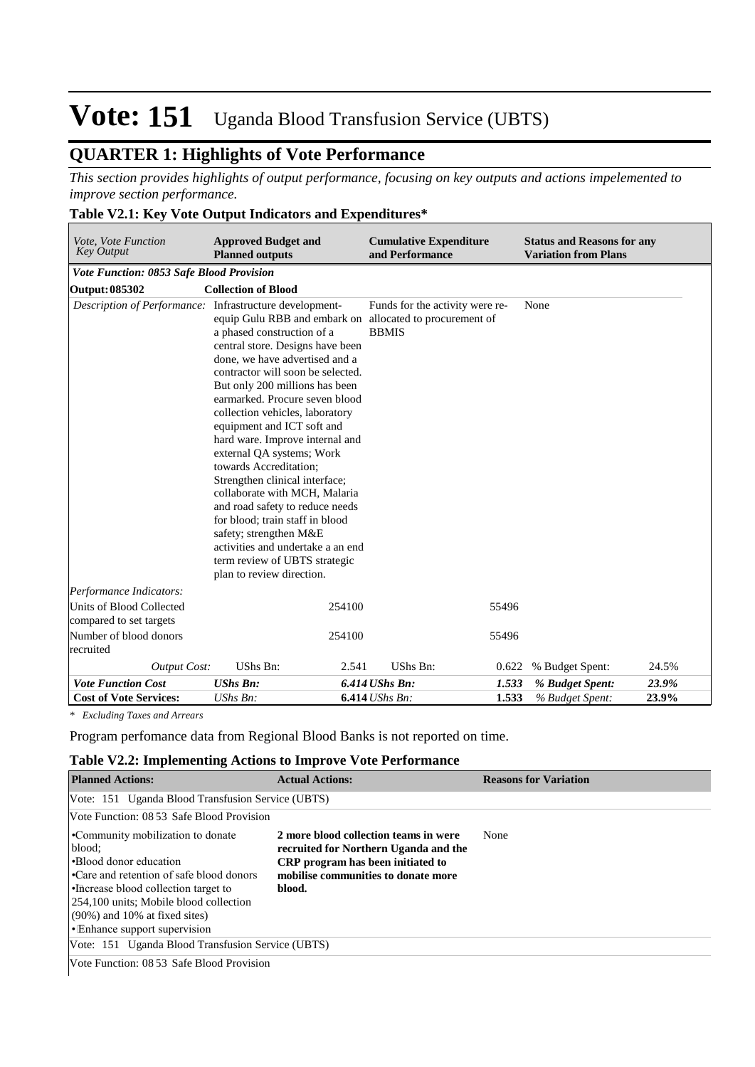### **QUARTER 1: Highlights of Vote Performance**

*This section provides highlights of output performance, focusing on key outputs and actions impelemented to improve section performance.*

#### **Table V2.1: Key Vote Output Indicators and Expenditures\***

| Vote, Vote Function<br><b>Key Output</b>                | <b>Approved Budget and</b><br><b>Planned outputs</b>                                                                                                                                                                                                                                                                                                                                                                                                                                                                                                                                                                                                                                                   |                  | <b>Cumulative Expenditure</b><br>and Performance |       | <b>Status and Reasons for any</b><br><b>Variation from Plans</b> |       |
|---------------------------------------------------------|--------------------------------------------------------------------------------------------------------------------------------------------------------------------------------------------------------------------------------------------------------------------------------------------------------------------------------------------------------------------------------------------------------------------------------------------------------------------------------------------------------------------------------------------------------------------------------------------------------------------------------------------------------------------------------------------------------|------------------|--------------------------------------------------|-------|------------------------------------------------------------------|-------|
| Vote Function: 0853 Safe Blood Provision                |                                                                                                                                                                                                                                                                                                                                                                                                                                                                                                                                                                                                                                                                                                        |                  |                                                  |       |                                                                  |       |
| <b>Output: 085302</b>                                   | <b>Collection of Blood</b>                                                                                                                                                                                                                                                                                                                                                                                                                                                                                                                                                                                                                                                                             |                  |                                                  |       |                                                                  |       |
| Description of Performance: Infrastructure development- | equip Gulu RBB and embark on allocated to procurement of<br>a phased construction of a<br>central store. Designs have been<br>done, we have advertised and a<br>contractor will soon be selected.<br>But only 200 millions has been<br>earmarked. Procure seven blood<br>collection vehicles, laboratory<br>equipment and ICT soft and<br>hard ware. Improve internal and<br>external QA systems; Work<br>towards Accreditation:<br>Strengthen clinical interface;<br>collaborate with MCH, Malaria<br>and road safety to reduce needs<br>for blood; train staff in blood<br>safety; strengthen M&E<br>activities and undertake a an end<br>term review of UBTS strategic<br>plan to review direction. |                  | Funds for the activity were re-<br><b>BBMIS</b>  |       | None                                                             |       |
| Performance Indicators:                                 |                                                                                                                                                                                                                                                                                                                                                                                                                                                                                                                                                                                                                                                                                                        |                  |                                                  |       |                                                                  |       |
| Units of Blood Collected<br>compared to set targets     |                                                                                                                                                                                                                                                                                                                                                                                                                                                                                                                                                                                                                                                                                                        | 254100           |                                                  | 55496 |                                                                  |       |
| Number of blood donors<br>recruited                     |                                                                                                                                                                                                                                                                                                                                                                                                                                                                                                                                                                                                                                                                                                        | 254100           |                                                  | 55496 |                                                                  |       |
| <b>Output Cost:</b>                                     | UShs Bn:                                                                                                                                                                                                                                                                                                                                                                                                                                                                                                                                                                                                                                                                                               | 2.541            | UShs Bn:                                         | 0.622 | % Budget Spent:                                                  | 24.5% |
| <b>Vote Function Cost</b>                               | <b>UShs Bn:</b>                                                                                                                                                                                                                                                                                                                                                                                                                                                                                                                                                                                                                                                                                        | $6.414$ UShs Bn: |                                                  | 1.533 | % Budget Spent:                                                  | 23.9% |
| <b>Cost of Vote Services:</b>                           | UShs Bn:                                                                                                                                                                                                                                                                                                                                                                                                                                                                                                                                                                                                                                                                                               | $6.414$ UShs Bn: |                                                  | 1.533 | % Budget Spent:                                                  | 23.9% |

*\* Excluding Taxes and Arrears*

Program perfomance data from Regional Blood Banks is not reported on time.

#### **Table V2.2: Implementing Actions to Improve Vote Performance**

| <b>Planned Actions:</b>                                                                                                                                                                                                                                                         | <b>Actual Actions:</b>                                                                                                                                                      | <b>Reasons for Variation</b> |
|---------------------------------------------------------------------------------------------------------------------------------------------------------------------------------------------------------------------------------------------------------------------------------|-----------------------------------------------------------------------------------------------------------------------------------------------------------------------------|------------------------------|
| Vote: 151 Uganda Blood Transfusion Service (UBTS)                                                                                                                                                                                                                               |                                                                                                                                                                             |                              |
| Vote Function: 08 53 Safe Blood Provision                                                                                                                                                                                                                                       |                                                                                                                                                                             |                              |
| •Community mobilization to donate<br>blood:<br><b>Blood donor education</b><br>•Care and retention of safe blood donors<br>• Increase blood collection target to<br>254,100 units; Mobile blood collection<br>$(90\%)$ and 10% at fixed sites)<br>• Enhance support supervision | 2 more blood collection teams in were<br>recruited for Northern Uganda and the<br><b>CRP</b> program has been initiated to<br>mobilise communities to donate more<br>blood. | None                         |
| Vote: 151 Uganda Blood Transfusion Service (UBTS)                                                                                                                                                                                                                               |                                                                                                                                                                             |                              |
| Vote Function: 08 53 Safe Blood Provision                                                                                                                                                                                                                                       |                                                                                                                                                                             |                              |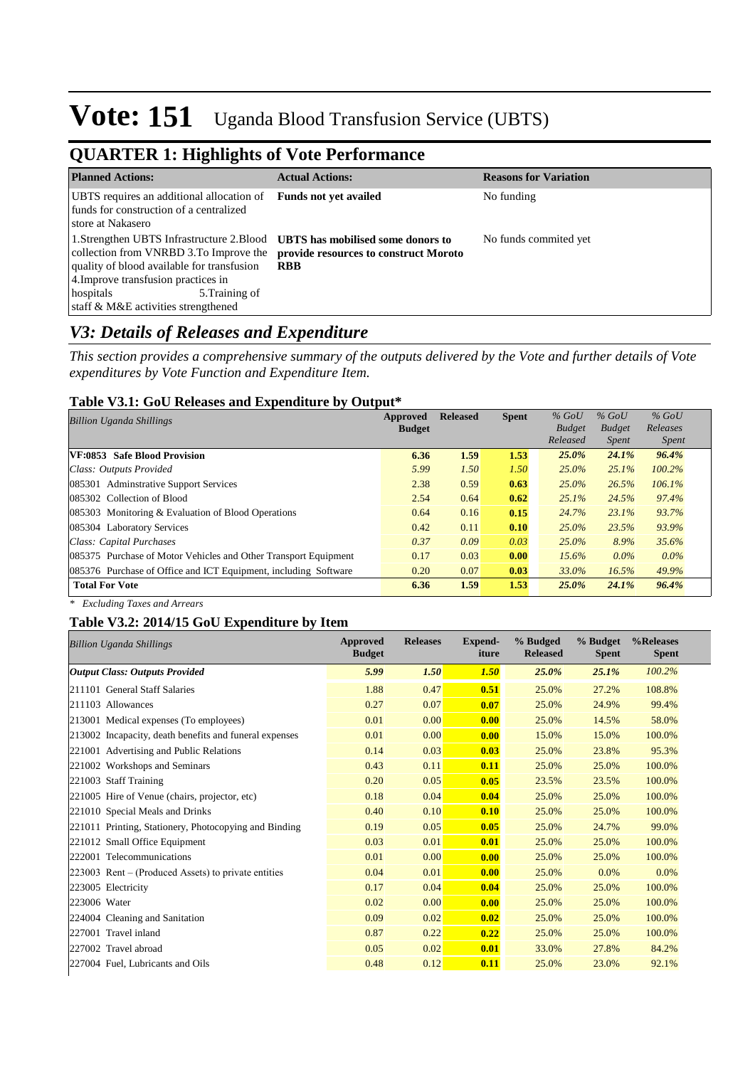## **QUARTER 1: Highlights of Vote Performance**

| <b>Planned Actions:</b>                                                                                                                                                                                                                                                                                                        | <b>Actual Actions:</b>       | <b>Reasons for Variation</b> |
|--------------------------------------------------------------------------------------------------------------------------------------------------------------------------------------------------------------------------------------------------------------------------------------------------------------------------------|------------------------------|------------------------------|
| UBTS requires an additional allocation of<br>funds for construction of a centralized<br>store at Nakasero                                                                                                                                                                                                                      | <b>Funds not yet availed</b> | No funding                   |
| 1. Strengthen UBTS Infrastructure 2. Blood UBTS has mobilised some donors to<br>collection from VNRBD 3.To Improve the <b>provide resources to construct Moroto</b><br>quality of blood available for transfusion<br>4. Improve transfusion practices in<br>hospitals<br>5. Training of<br>staff & M&E activities strengthened | <b>RBB</b>                   | No funds commited yet        |

### *V3: Details of Releases and Expenditure*

*This section provides a comprehensive summary of the outputs delivered by the Vote and further details of Vote expenditures by Vote Function and Expenditure Item.*

#### **Table V3.1: GoU Releases and Expenditure by Output\***

| <b>Billion Uganda Shillings</b>                                 | Approved      | <b>Released</b> | <b>Spent</b> | $%$ GoU       | $%$ GoU       | $%$ GoU      |
|-----------------------------------------------------------------|---------------|-----------------|--------------|---------------|---------------|--------------|
|                                                                 | <b>Budget</b> |                 |              | <b>Budget</b> | <b>Budget</b> | Releases     |
|                                                                 |               |                 |              | Released      | <i>Spent</i>  | <b>Spent</b> |
| VF:0853 Safe Blood Provision                                    | 6.36          | 1.59            | 1.53         | 25.0%         | 24.1%         | 96.4%        |
| Class: Outputs Provided                                         | 5.99          | 1.50            | 1.50         | $25.0\%$      | 25.1%         | 100.2%       |
| 085301 Adminstrative Support Services                           | 2.38          | 0.59            | 0.63         | $25.0\%$      | 26.5%         | 106.1%       |
| 085302 Collection of Blood                                      | 2.54          | 0.64            | 0.62         | 25.1%         | 24.5%         | 97.4%        |
| $085303$ Monitoring & Evaluation of Blood Operations            | 0.64          | 0.16            | 0.15         | 24.7%         | 23.1%         | 93.7%        |
| 085304 Laboratory Services                                      | 0.42          | 0.11            | 0.10         | 25.0%         | 23.5%         | 93.9%        |
| Class: Capital Purchases                                        | 0.37          | 0.09            | 0.03         | 25.0%         | 8.9%          | 35.6%        |
| 085375 Purchase of Motor Vehicles and Other Transport Equipment | 0.17          | 0.03            | 0.00         | $15.6\%$      | $0.0\%$       | $0.0\%$      |
| 085376 Purchase of Office and ICT Equipment, including Software | 0.20          | 0.07            | 0.03         | 33.0%         | 16.5%         | 49.9%        |
| <b>Total For Vote</b>                                           | 6.36          | 1.59            | 1.53         | 25.0%         | 24.1%         | 96.4%        |

*\* Excluding Taxes and Arrears*

#### **Table V3.2: 2014/15 GoU Expenditure by Item**

| <b>Billion Uganda Shillings</b>                        | <b>Approved</b><br><b>Budget</b> | <b>Releases</b> | Expend-<br>iture | % Budged<br><b>Released</b> | % Budget<br><b>Spent</b> | %Releases<br><b>Spent</b> |
|--------------------------------------------------------|----------------------------------|-----------------|------------------|-----------------------------|--------------------------|---------------------------|
| <b>Output Class: Outputs Provided</b>                  | 5.99                             | 1.50            | 1.50             | 25.0%                       | 25.1%                    | 100.2%                    |
| 211101 General Staff Salaries                          | 1.88                             | 0.47            | 0.51             | 25.0%                       | 27.2%                    | 108.8%                    |
| 211103 Allowances                                      | 0.27                             | 0.07            | 0.07             | 25.0%                       | 24.9%                    | 99.4%                     |
| 213001 Medical expenses (To employees)                 | 0.01                             | 0.00            | 0.00             | 25.0%                       | 14.5%                    | 58.0%                     |
| 213002 Incapacity, death benefits and funeral expenses | 0.01                             | 0.00            | 0.00             | 15.0%                       | 15.0%                    | 100.0%                    |
| 221001 Advertising and Public Relations                | 0.14                             | 0.03            | 0.03             | 25.0%                       | 23.8%                    | 95.3%                     |
| 221002 Workshops and Seminars                          | 0.43                             | 0.11            | 0.11             | 25.0%                       | 25.0%                    | 100.0%                    |
| 221003 Staff Training                                  | 0.20                             | 0.05            | 0.05             | 23.5%                       | 23.5%                    | 100.0%                    |
| 221005 Hire of Venue (chairs, projector, etc)          | 0.18                             | 0.04            | 0.04             | 25.0%                       | 25.0%                    | 100.0%                    |
| 221010 Special Meals and Drinks                        | 0.40                             | 0.10            | 0.10             | 25.0%                       | 25.0%                    | 100.0%                    |
| 221011 Printing, Stationery, Photocopying and Binding  | 0.19                             | 0.05            | 0.05             | 25.0%                       | 24.7%                    | 99.0%                     |
| 221012 Small Office Equipment                          | 0.03                             | 0.01            | 0.01             | 25.0%                       | 25.0%                    | 100.0%                    |
| 222001 Telecommunications                              | 0.01                             | 0.00            | 0.00             | 25.0%                       | 25.0%                    | 100.0%                    |
| $223003$ Rent – (Produced Assets) to private entities  | 0.04                             | 0.01            | 0.00             | 25.0%                       | 0.0%                     | 0.0%                      |
| 223005 Electricity                                     | 0.17                             | 0.04            | 0.04             | 25.0%                       | 25.0%                    | 100.0%                    |
| 223006 Water                                           | 0.02                             | 0.00            | 0.00             | 25.0%                       | 25.0%                    | 100.0%                    |
| 224004 Cleaning and Sanitation                         | 0.09                             | 0.02            | 0.02             | 25.0%                       | 25.0%                    | 100.0%                    |
| 227001 Travel inland                                   | 0.87                             | 0.22            | 0.22             | 25.0%                       | 25.0%                    | 100.0%                    |
| 227002 Travel abroad                                   | 0.05                             | 0.02            | 0.01             | 33.0%                       | 27.8%                    | 84.2%                     |
| 227004 Fuel, Lubricants and Oils                       | 0.48                             | 0.12            | 0.11             | 25.0%                       | 23.0%                    | 92.1%                     |